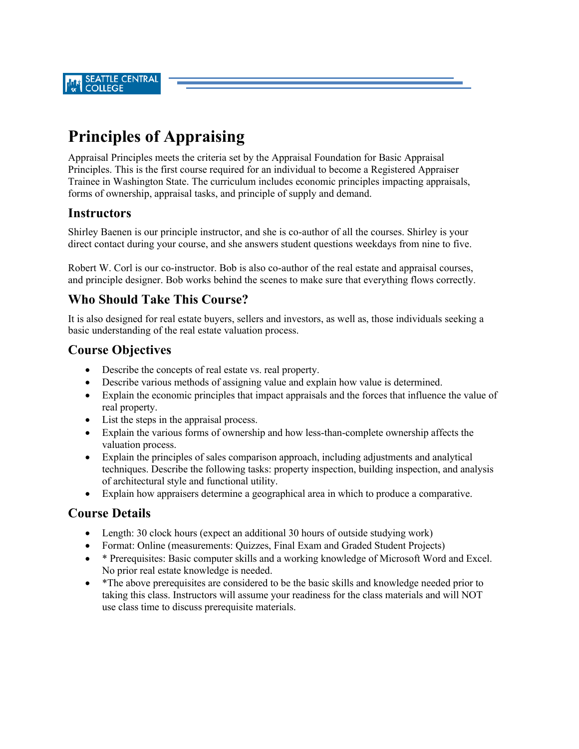# **Principles of Appraising**

Appraisal Principles meets the criteria set by the Appraisal Foundation for Basic Appraisal Principles. This is the first course required for an individual to become a Registered Appraiser Trainee in Washington State. The curriculum includes economic principles impacting appraisals, forms of ownership, appraisal tasks, and principle of supply and demand.

#### **Instructors**

Shirley Baenen is our principle instructor, and she is co-author of all the courses. Shirley is your direct contact during your course, and she answers student questions weekdays from nine to five.

Robert W. Corl is our co-instructor. Bob is also co-author of the real estate and appraisal courses, and principle designer. Bob works behind the scenes to make sure that everything flows correctly.

## **Who Should Take This Course?**

It is also designed for real estate buyers, sellers and investors, as well as, those individuals seeking a basic understanding of the real estate valuation process.

### **Course Objectives**

- Describe the concepts of real estate vs. real property.
- Describe various methods of assigning value and explain how value is determined.
- Explain the economic principles that impact appraisals and the forces that influence the value of real property.
- List the steps in the appraisal process.
- Explain the various forms of ownership and how less-than-complete ownership affects the valuation process.
- Explain the principles of sales comparison approach, including adjustments and analytical techniques. Describe the following tasks: property inspection, building inspection, and analysis of architectural style and functional utility.
- Explain how appraisers determine a geographical area in which to produce a comparative.

### **Course Details**

- Length: 30 clock hours (expect an additional 30 hours of outside studying work)
- Format: Online (measurements: Quizzes, Final Exam and Graded Student Projects)
- \* Prerequisites: Basic computer skills and a working knowledge of Microsoft Word and Excel. No prior real estate knowledge is needed.
- \*The above prerequisites are considered to be the basic skills and knowledge needed prior to taking this class. Instructors will assume your readiness for the class materials and will NOT use class time to discuss prerequisite materials.